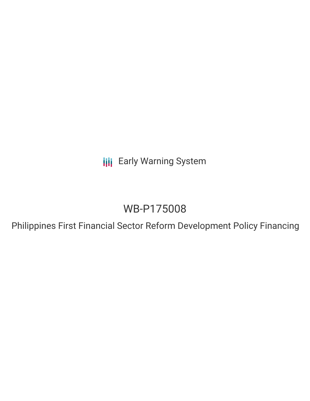**III** Early Warning System

# WB-P175008

Philippines First Financial Sector Reform Development Policy Financing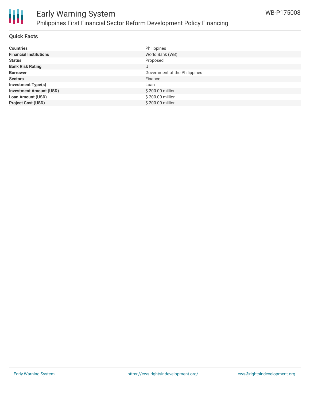

### **Quick Facts**

| <b>Countries</b>               | Philippines                   |
|--------------------------------|-------------------------------|
| <b>Financial Institutions</b>  | World Bank (WB)               |
| <b>Status</b>                  | Proposed                      |
| <b>Bank Risk Rating</b>        | U                             |
| <b>Borrower</b>                | Government of the Philippines |
| <b>Sectors</b>                 | Finance                       |
| <b>Investment Type(s)</b>      | Loan                          |
| <b>Investment Amount (USD)</b> | \$200.00 million              |
| <b>Loan Amount (USD)</b>       | \$200.00 million              |
| <b>Project Cost (USD)</b>      | \$200,00 million              |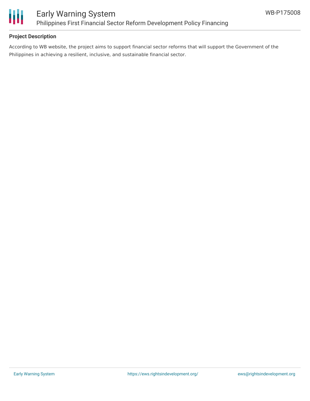

## **Project Description**

According to WB website, the project aims to support financial sector reforms that will support the Government of the Philippines in achieving a resilient, inclusive, and sustainable financial sector.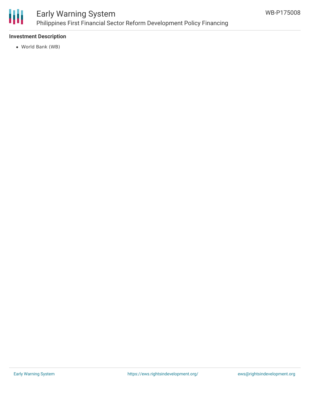

## **Investment Description**

World Bank (WB)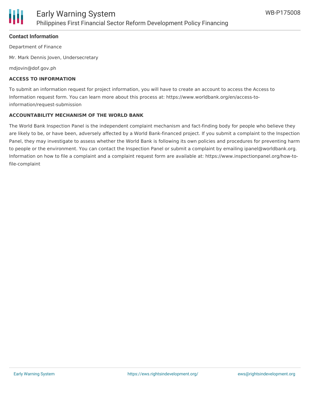

### **Contact Information**

Department of Finance

Mr. Mark Dennis Joven, Undersecretary

mdjovin@dof.gov.ph

#### **ACCESS TO INFORMATION**

To submit an information request for project information, you will have to create an account to access the Access to Information request form. You can learn more about this process at: https://www.worldbank.org/en/access-toinformation/request-submission

#### **ACCOUNTABILITY MECHANISM OF THE WORLD BANK**

The World Bank Inspection Panel is the independent complaint mechanism and fact-finding body for people who believe they are likely to be, or have been, adversely affected by a World Bank-financed project. If you submit a complaint to the Inspection Panel, they may investigate to assess whether the World Bank is following its own policies and procedures for preventing harm to people or the environment. You can contact the Inspection Panel or submit a complaint by emailing ipanel@worldbank.org. Information on how to file a complaint and a complaint request form are available at: https://www.inspectionpanel.org/how-tofile-complaint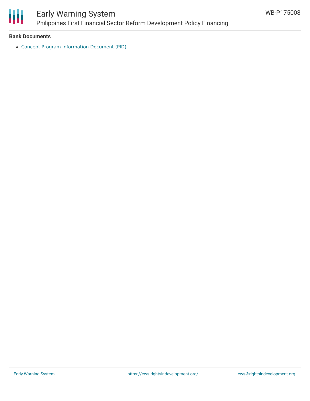

#### **Bank Documents**

Concept Program [Information](http://documents1.worldbank.org/curated/en/110981608730197058/pdf/Concept-Program-Information-Document-PID-Philippines-First-Financial-Sector-Reform-Development-Policy-Financing-P175008.pdf) Document (PID)